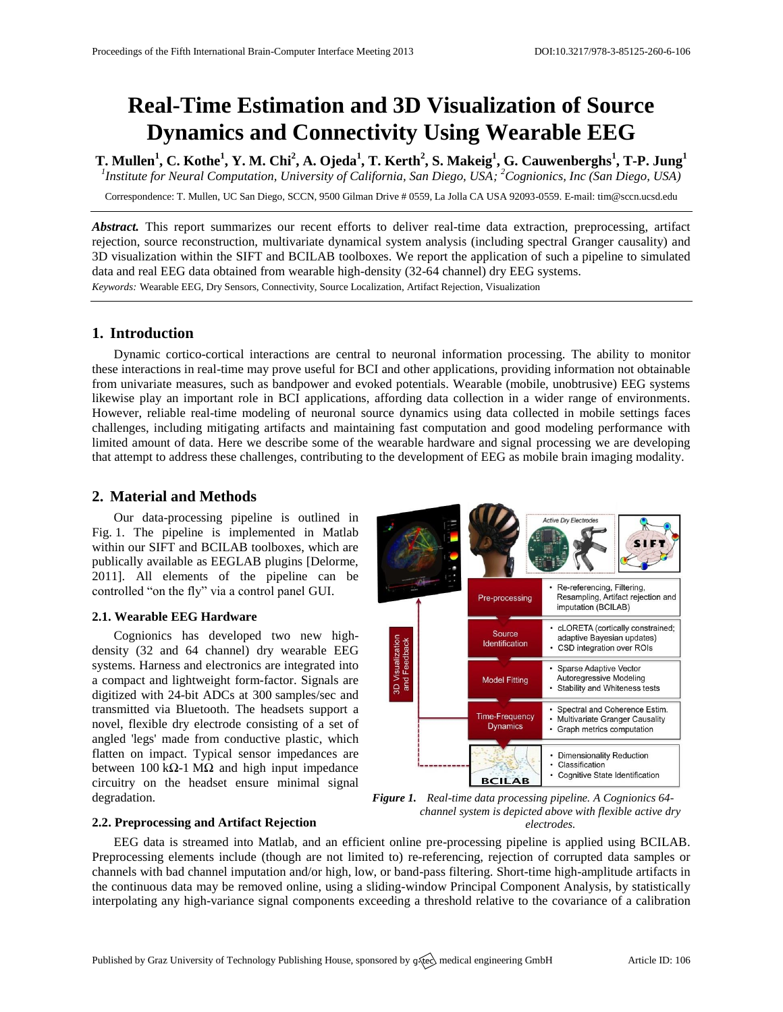# **Real-Time Estimation and 3D Visualization of Source Dynamics and Connectivity Using Wearable EEG**

**T. Mullen<sup>1</sup> , C. Kothe<sup>1</sup> , Y. M. Chi<sup>2</sup> , A. Ojeda<sup>1</sup> , T. Kerth<sup>2</sup> , S. Makeig<sup>1</sup> , G. Cauwenberghs<sup>1</sup> , T-P. Jung<sup>1</sup>** *1 Institute for Neural Computation, University of California, San Diego, USA; <sup>2</sup>Cognionics, Inc (San Diego, USA)*

Correspondence: T. Mullen, UC San Diego, SCCN, 9500 Gilman Drive # 0559, La Jolla CA USA 92093-0559. E-mail[: tim@sccn.ucsd.edu](mailto:corresponding.author@address.com)

*Abstract.* This report summarizes our recent efforts to deliver real-time data extraction, preprocessing, artifact rejection, source reconstruction, multivariate dynamical system analysis (including spectral Granger causality) and 3D visualization within the SIFT and BCILAB toolboxes. We report the application of such a pipeline to simulated data and real EEG data obtained from wearable high-density (32-64 channel) dry EEG systems. *Keywords:* Wearable EEG, Dry Sensors, Connectivity, Source Localization, Artifact Rejection, Visualization

# **1. Introduction**

Dynamic cortico-cortical interactions are central to neuronal information processing. The ability to monitor these interactions in real-time may prove useful for BCI and other applications, providing information not obtainable from univariate measures, such as bandpower and evoked potentials. Wearable (mobile, unobtrusive) EEG systems likewise play an important role in BCI applications, affording data collection in a wider range of environments. However, reliable real-time modeling of neuronal source dynamics using data collected in mobile settings faces challenges, including mitigating artifacts and maintaining fast computation and good modeling performance with limited amount of data. Here we describe some of the wearable hardware and signal processing we are developing that attempt to address these challenges, contributing to the development of EEG as mobile brain imaging modality.

## **2. Material and Methods**

Our data-processing pipeline is outlined in Fig. 1. The pipeline is implemented in Matlab within our SIFT and BCILAB toolboxes, which are publically available as EEGLAB plugins [Delorme, 2011]. All elements of the pipeline can be controlled "on the fly" via a control panel GUI.

## **2.1. Wearable EEG Hardware**

Cognionics has developed two new highdensity (32 and 64 channel) dry wearable EEG systems. Harness and electronics are integrated into a compact and lightweight form-factor. Signals are digitized with 24-bit ADCs at 300 samples/sec and transmitted via Bluetooth. The headsets support a novel, flexible dry electrode consisting of a set of angled 'legs' made from conductive plastic, which flatten on impact. Typical sensor impedances are between 100 kΩ-1 MΩ and high input impedance circuitry on the headset ensure minimal signal degradation.



*Figure 1. Real-time data processing pipeline. A Cognionics 64 channel system is depicted above with flexible active dry electrodes.*

## **2.2. Preprocessing and Artifact Rejection**

EEG data is streamed into Matlab, and an efficient online pre-processing pipeline is applied using BCILAB. Preprocessing elements include (though are not limited to) re-referencing, rejection of corrupted data samples or channels with bad channel imputation and/or high, low, or band-pass filtering. Short-time high-amplitude artifacts in the continuous data may be removed online, using a sliding-window Principal Component Analysis, by statistically interpolating any high-variance signal components exceeding a threshold relative to the covariance of a calibration